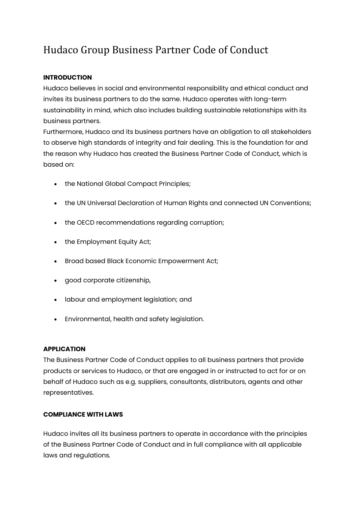# Hudaco Group Business Partner Code of Conduct

## **INTRODUCTION**

Hudaco believes in social and environmental responsibility and ethical conduct and invites its business partners to do the same. Hudaco operates with long-term sustainability in mind, which also includes building sustainable relationships with its business partners.

Furthermore, Hudaco and its business partners have an obligation to all stakeholders to observe high standards of integrity and fair dealing. This is the foundation for and the reason why Hudaco has created the Business Partner Code of Conduct, which is based on:

- the National Global Compact Principles;
- the UN Universal Declaration of Human Rights and connected UN Conventions;
- the OECD recommendations regarding corruption;
- the Employment Equity Act;
- Broad based Black Economic Empowerment Act;
- good corporate citizenship,
- labour and employment legislation; and
- Environmental, health and safety legislation.

#### **APPLICATION**

The Business Partner Code of Conduct applies to all business partners that provide products or services to Hudaco, or that are engaged in or instructed to act for or on behalf of Hudaco such as e.g. suppliers, consultants, distributors, agents and other representatives.

## **COMPLIANCE WITH LAWS**

Hudaco invites all its business partners to operate in accordance with the principles of the Business Partner Code of Conduct and in full compliance with all applicable laws and regulations.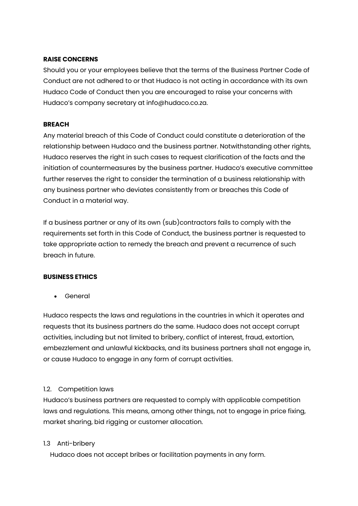#### **RAISE CONCERNS**

Should you or your employees believe that the terms of the Business Partner Code of Conduct are not adhered to or that Hudaco is not acting in accordance with its own Hudaco Code of Conduct then you are encouraged to raise your concerns with Hudaco's company secretary at info@hudaco.co.za.

#### **BREACH**

Any material breach of this Code of Conduct could constitute a deterioration of the relationship between Hudaco and the business partner. Notwithstanding other rights, Hudaco reserves the right in such cases to request clarification of the facts and the initiation of countermeasures by the business partner. Hudaco's executive committee further reserves the right to consider the termination of a business relationship with any business partner who deviates consistently from or breaches this Code of Conduct in a material way.

If a business partner or any of its own (sub)contractors fails to comply with the requirements set forth in this Code of Conduct, the business partner is requested to take appropriate action to remedy the breach and prevent a recurrence of such breach in future.

## **BUSINESS ETHICS**

• General

Hudaco respects the laws and regulations in the countries in which it operates and requests that its business partners do the same. Hudaco does not accept corrupt activities, including but not limited to bribery, conflict of interest, fraud, extortion, embezzlement and unlawful kickbacks, and its business partners shall not engage in, or cause Hudaco to engage in any form of corrupt activities.

## 1.2. Competition laws

Hudaco's business partners are requested to comply with applicable competition laws and regulations. This means, among other things, not to engage in price fixing, market sharing, bid rigging or customer allocation.

## 1.3 Anti-bribery

Hudaco does not accept bribes or facilitation payments in any form.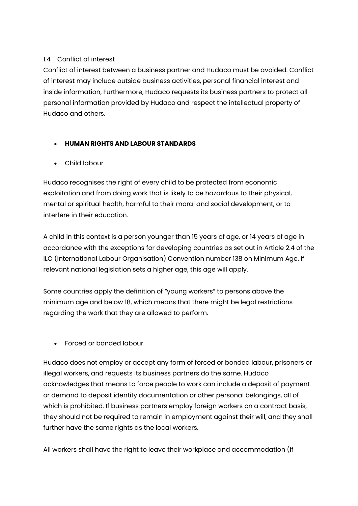## 1.4 Conflict of interest

Conflict of interest between a business partner and Hudaco must be avoided. Conflict of interest may include outside business activities, personal financial interest and inside information, Furthermore, Hudaco requests its business partners to protect all personal information provided by Hudaco and respect the intellectual property of Hudaco and others.

# • **HUMAN RIGHTS AND LABOUR STANDARDS**

• Child labour

Hudaco recognises the right of every child to be protected from economic exploitation and from doing work that is likely to be hazardous to their physical, mental or spiritual health, harmful to their moral and social development, or to interfere in their education.

A child in this context is a person younger than 15 years of age, or 14 years of age in accordance with the exceptions for developing countries as set out in Article 2.4 of the ILO (International Labour Organisation) Convention number 138 on Minimum Age. If relevant national legislation sets a higher age, this age will apply.

Some countries apply the definition of "young workers" to persons above the minimum age and below 18, which means that there might be legal restrictions regarding the work that they are allowed to perform.

• Forced or bonded labour

Hudaco does not employ or accept any form of forced or bonded labour, prisoners or illegal workers, and requests its business partners do the same. Hudaco acknowledges that means to force people to work can include a deposit of payment or demand to deposit identity documentation or other personal belongings, all of which is prohibited. If business partners employ foreign workers on a contract basis, they should not be required to remain in employment against their will, and they shall further have the same rights as the local workers.

All workers shall have the right to leave their workplace and accommodation (if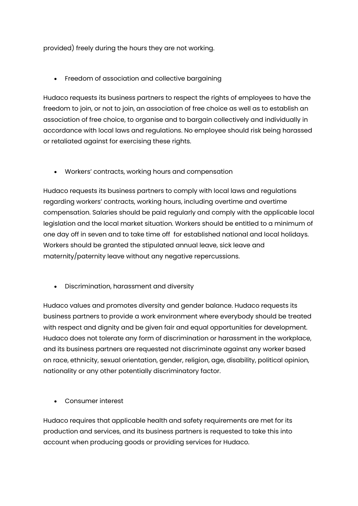provided) freely during the hours they are not working.

• Freedom of association and collective bargaining

Hudaco requests its business partners to respect the rights of employees to have the freedom to join, or not to join, an association of free choice as well as to establish an association of free choice, to organise and to bargain collectively and individually in accordance with local laws and regulations. No employee should risk being harassed or retaliated against for exercising these rights.

• Workers' contracts, working hours and compensation

Hudaco requests its business partners to comply with local laws and regulations regarding workers' contracts, working hours, including overtime and overtime compensation. Salaries should be paid regularly and comply with the applicable local legislation and the local market situation. Workers should be entitled to a minimum of one day off in seven and to take time off for established national and local holidays. Workers should be granted the stipulated annual leave, sick leave and maternity/paternity leave without any negative repercussions.

• Discrimination, harassment and diversity

Hudaco values and promotes diversity and gender balance. Hudaco requests its business partners to provide a work environment where everybody should be treated with respect and dignity and be given fair and equal opportunities for development. Hudaco does not tolerate any form of discrimination or harassment in the workplace, and its business partners are requested not discriminate against any worker based on race, ethnicity, sexual orientation, gender, religion, age, disability, political opinion, nationality or any other potentially discriminatory factor.

• Consumer interest

Hudaco requires that applicable health and safety requirements are met for its production and services, and its business partners is requested to take this into account when producing goods or providing services for Hudaco.